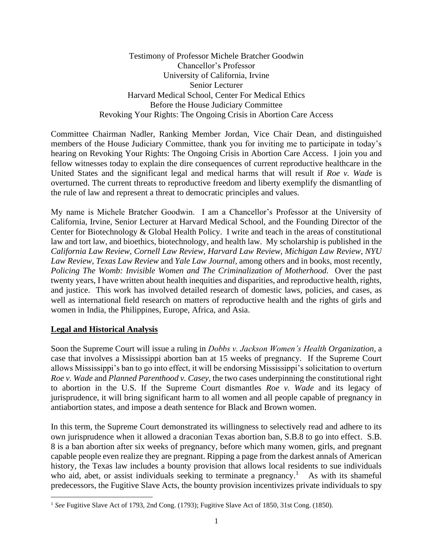Testimony of Professor Michele Bratcher Goodwin Chancellor's Professor University of California, Irvine Senior Lecturer Harvard Medical School, Center For Medical Ethics Before the House Judiciary Committee Revoking Your Rights: The Ongoing Crisis in Abortion Care Access

Committee Chairman Nadler, Ranking Member Jordan, Vice Chair Dean, and distinguished members of the House Judiciary Committee, thank you for inviting me to participate in today's hearing on Revoking Your Rights: The Ongoing Crisis in Abortion Care Access. I join you and fellow witnesses today to explain the dire consequences of current reproductive healthcare in the United States and the significant legal and medical harms that will result if *Roe v. Wade* is overturned. The current threats to reproductive freedom and liberty exemplify the dismantling of the rule of law and represent a threat to democratic principles and values.

My name is Michele Bratcher Goodwin. I am a Chancellor's Professor at the University of California, Irvine, Senior Lecturer at Harvard Medical School, and the Founding Director of the Center for Biotechnology & Global Health Policy. I write and teach in the areas of constitutional law and tort law, and bioethics, biotechnology, and health law. My scholarship is published in the *California Law Review, Cornell Law Review, Harvard Law Review, Michigan Law Review, NYU Law Review, Texas Law Review* and *Yale Law Journal,* among others and in books, most recently, *Policing The Womb: Invisible Women and The Criminalization of Motherhood.* Over the past twenty years, I have written about health inequities and disparities, and reproductive health, rights, and justice. This work has involved detailed research of domestic laws, policies, and cases, as well as international field research on matters of reproductive health and the rights of girls and women in India, the Philippines, Europe, Africa, and Asia.

## **Legal and Historical Analysis**

Soon the Supreme Court will issue a ruling in *Dobbs v. Jackson Women's Health Organization*, a case that involves a Mississippi abortion ban at 15 weeks of pregnancy. If the Supreme Court allows Mississippi's ban to go into effect, it will be endorsing Mississippi's solicitation to overturn *Roe v. Wade* and *Planned Parenthood v. Casey,* the two cases underpinning the constitutional right to abortion in the U.S. If the Supreme Court dismantles *Roe v. Wade* and its legacy of jurisprudence, it will bring significant harm to all women and all people capable of pregnancy in antiabortion states, and impose a death sentence for Black and Brown women.

In this term, the Supreme Court demonstrated its willingness to selectively read and adhere to its own jurisprudence when it allowed a draconian Texas abortion ban, S.B.8 to go into effect. S.B. 8 is a ban abortion after six weeks of pregnancy, before which many women, girls, and pregnant capable people even realize they are pregnant. Ripping a page from the darkest annals of American history, the Texas law includes a bounty provision that allows local residents to sue individuals who aid, abet, or assist individuals seeking to terminate a pregnancy.<sup>1</sup> As with its shameful predecessors, the Fugitive Slave Acts, the bounty provision incentivizes private individuals to spy

<sup>&</sup>lt;sup>1</sup> See Fugitive Slave Act of 1793, 2nd Cong. (1793); Fugitive Slave Act of 1850, 31st Cong. (1850).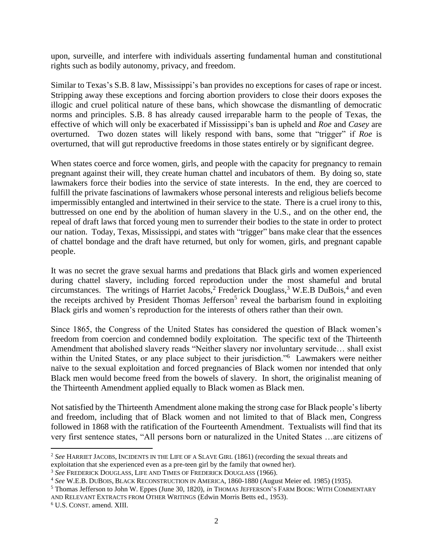upon, surveille, and interfere with individuals asserting fundamental human and constitutional rights such as bodily autonomy, privacy, and freedom.

Similar to Texas's S.B. 8 law, Mississippi's ban provides no exceptions for cases of rape or incest. Stripping away these exceptions and forcing abortion providers to close their doors exposes the illogic and cruel political nature of these bans, which showcase the dismantling of democratic norms and principles. S.B. 8 has already caused irreparable harm to the people of Texas, the effective of which will only be exacerbated if Mississippi's ban is upheld and *Roe* and *Casey* are overturned. Two dozen states will likely respond with bans, some that "trigger" if *Roe* is overturned, that will gut reproductive freedoms in those states entirely or by significant degree.

When states coerce and force women, girls, and people with the capacity for pregnancy to remain pregnant against their will, they create human chattel and incubators of them. By doing so, state lawmakers force their bodies into the service of state interests. In the end, they are coerced to fulfill the private fascinations of lawmakers whose personal interests and religious beliefs become impermissibly entangled and intertwined in their service to the state. There is a cruel irony to this, buttressed on one end by the abolition of human slavery in the U.S., and on the other end, the repeal of draft laws that forced young men to surrender their bodies to the state in order to protect our nation. Today, Texas, Mississippi, and states with "trigger" bans make clear that the essences of chattel bondage and the draft have returned, but only for women, girls, and pregnant capable people.

It was no secret the grave sexual harms and predations that Black girls and women experienced during chattel slavery, including forced reproduction under the most shameful and brutal circumstances. The writings of Harriet Jacobs,<sup>2</sup> Frederick Douglass,<sup>3</sup> W.E.B DuBois,<sup>4</sup> and even the receipts archived by President Thomas Jefferson<sup>5</sup> reveal the barbarism found in exploiting Black girls and women's reproduction for the interests of others rather than their own.

Since 1865, the Congress of the United States has considered the question of Black women's freedom from coercion and condemned bodily exploitation. The specific text of the Thirteenth Amendment that abolished slavery reads "Neither slavery nor involuntary servitude… shall exist within the United States, or any place subject to their jurisdiction."<sup>6</sup> Lawmakers were neither naïve to the sexual exploitation and forced pregnancies of Black women nor intended that only Black men would become freed from the bowels of slavery. In short, the originalist meaning of the Thirteenth Amendment applied equally to Black women as Black men.

Not satisfied by the Thirteenth Amendment alone making the strong case for Black people's liberty and freedom, including that of Black women and not limited to that of Black men, Congress followed in 1868 with the ratification of the Fourteenth Amendment. Textualists will find that its very first sentence states, "All persons born or naturalized in the United States …are citizens of

<sup>2</sup> *See* HARRIET JACOBS, INCIDENTS IN THE LIFE OF A SLAVE GIRL (1861) (recording the sexual threats and

exploitation that she experienced even as a pre-teen girl by the family that owned her).

<sup>3</sup> *See* FREDERICK DOUGLASS, LIFE AND TIMES OF FREDERICK DOUGLASS (1966).

<sup>4</sup> *See* W.E.B. DUBOIS, BLACK RECONSTRUCTION IN AMERICA, 1860-1880 (August Meier ed. 1985) (1935).

<sup>5</sup> Thomas Jefferson to John W. Eppes (June 30, 1820), *in* THOMAS JEFFERSON'S FARM BOOK: WITH COMMENTARY AND RELEVANT EXTRACTS FROM OTHER WRITINGS (Edwin Morris Betts ed., 1953).

<sup>6</sup> U.S. CONST. amend. XIII.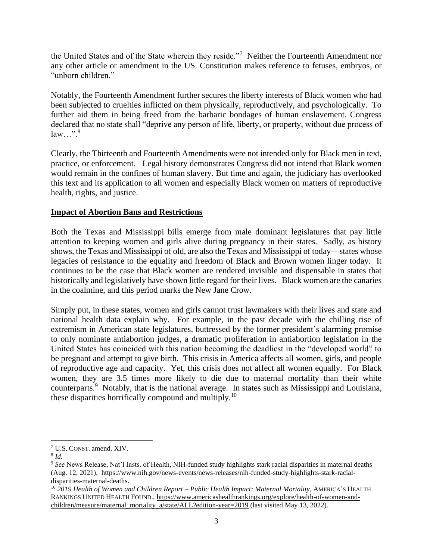the United States and of the State wherein they reside."<sup>7</sup> Neither the Fourteenth Amendment nor any other article or amendment in the US. Constitution makes reference to fetuses, embryos, or "unborn children."

Notably, the Fourteenth Amendment further secures the liberty interests of Black women who had been subjected to cruelties inflicted on them physically, reproductively, and psychologically. To further aid them in being freed from the barbaric bondages of human enslavement. Congress declared that no state shall "deprive any person of life, liberty, or property, without due process of  $law...$ ".<sup>8</sup>

Clearly, the Thirteenth and Fourteenth Amendments were not intended only for Black men in text, practice, or enforcement. Legal history demonstrates Congress did not intend that Black women would remain in the confines of human slavery. But time and again, the judiciary has overlooked this text and its application to all women and especially Black women on matters of reproductive health, rights, and justice.

## **Impact of Abortion Bans and Restrictions**

Both the Texas and Mississippi bills emerge from male dominant legislatures that pay little attention to keeping women and girls alive during pregnancy in their states. Sadly, as history shows, the Texas and Mississippi of old, are also the Texas and Mississippi of today—states whose legacies of resistance to the equality and freedom of Black and Brown women linger today. It continues to be the case that Black women are rendered invisible and dispensable in states that historically and legislatively have shown little regard for their lives. Black women are the canaries in the coalmine, and this period marks the New Jane Crow.

Simply put, in these states, women and girls cannot trust lawmakers with their lives and state and national health data explain why. For example, in the past decade with the chilling rise of extremism in American state legislatures, buttressed by the former president's alarming promise to only nominate antiabortion judges, a dramatic proliferation in antiabortion legislation in the United States has coincided with this nation becoming the deadliest in the "developed world" to be pregnant and attempt to give birth. This crisis in America affects all women, girls, and people of reproductive age and capacity. Yet, this crisis does not affect all women equally. For Black women, they are 3.5 times more likely to die due to maternal mortality than their white counterparts.<sup>9</sup> Notably, that is the national average. In states such as Mississippi and Louisiana, these disparities horrifically compound and multiply.<sup>10</sup>

<sup>7</sup> U.S. CONST. amend. XIV.

<sup>8</sup> *Id.* 

<sup>9</sup> *See* News Release, Nat'l Insts. of Health, NIH-funded study highlights stark racial disparities in maternal deaths (Aug. 12, 2021), [https://www.nih.gov/news-events/news-releases/nih-funded-study-highlights-stark-racial](https://www.nih.gov/news-events/news-releases/nih-funded-study-highlights-stark-racial-disparities-maternal-deaths)[disparities-maternal-deaths.](https://www.nih.gov/news-events/news-releases/nih-funded-study-highlights-stark-racial-disparities-maternal-deaths) 

<sup>10</sup> *2019 Health of Women and Children Report – Public Health Impact: Maternal Mortality*, AMERICA'S HEALTH RANKINGS UNITED HEALTH FOUND.[, https://www.americashealthrankings.org/explore/health-of-women-and](https://www.americashealthrankings.org/explore/health-of-women-and-children/measure/maternal_mortality_a/state/ALL?edition-year=2019)[children/measure/maternal\\_mortality\\_a/state/ALL?edition-year=2019](https://www.americashealthrankings.org/explore/health-of-women-and-children/measure/maternal_mortality_a/state/ALL?edition-year=2019) (last visited May 13, 2022).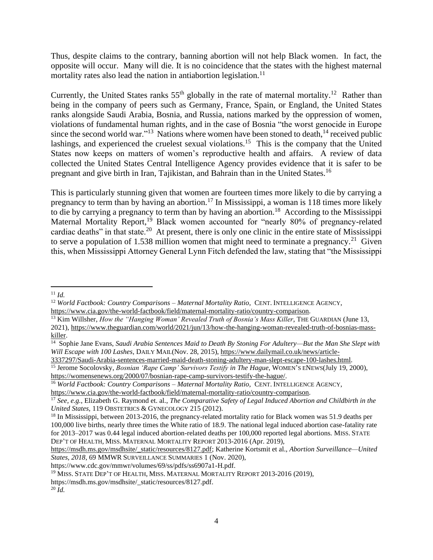Thus, despite claims to the contrary, banning abortion will not help Black women. In fact, the opposite will occur. Many will die. It is no coincidence that the states with the highest maternal mortality rates also lead the nation in antiabortion legislation.<sup>11</sup>

Currently, the United States ranks  $55<sup>th</sup>$  globally in the rate of maternal mortality.<sup>12</sup> Rather than being in the company of peers such as Germany, France, Spain, or England, the United States ranks alongside Saudi Arabia, Bosnia, and Russia, nations marked by the oppression of women, violations of fundamental human rights, and in the case of Bosnia "the worst genocide in Europe since the second world war."<sup>13</sup> Nations where women have been stoned to death, <sup>14</sup> received public lashings, and experienced the cruelest sexual violations.<sup>15</sup> This is the company that the United States now keeps on matters of women's reproductive health and affairs. A review of data collected the United States Central Intelligence Agency provides evidence that it is safer to be pregnant and give birth in Iran, Tajikistan, and Bahrain than in the United States.<sup>16</sup>

This is particularly stunning given that women are fourteen times more likely to die by carrying a pregnancy to term than by having an abortion.<sup>17</sup> In Mississippi, a woman is 118 times more likely to die by carrying a pregnancy to term than by having an abortion.<sup>18</sup> According to the Mississippi Maternal Mortality Report,<sup>19</sup> Black women accounted for "nearly 80% of pregnancy-related cardiac deaths" in that state.<sup>20</sup> At present, there is only one clinic in the entire state of Mississippi to serve a population of 1.538 million women that might need to terminate a pregnancy.<sup>21</sup> Given this, when Mississippi Attorney General Lynn Fitch defended the law, stating that "the Mississippi

[3337297/Saudi-Arabia-sentences-married-maid-death-stoning-adultery-man-slept-escape-100-lashes.html.](https://www.dailymail.co.uk/news/article-3337297/Saudi-Arabia-sentences-married-maid-death-stoning-adultery-man-slept-escape-100-lashes.html) <sup>15</sup> Jerome Socolovsky, *Bosnian 'Rape Camp' Survivors Testify in The Hague*, WOMEN'S ENEWS(July 19, 2000), [https://womensenews.org/2000/07/bosnian-rape-camp-survivors-testify-the-hague/.](https://womensenews.org/2000/07/bosnian-rape-camp-survivors-testify-the-hague/)

 $11$  *Id.* 

<sup>12</sup> *World Factbook: Country Comparisons – Maternal Mortality Ratio*, CENT. INTELLIGENCE AGENCY, [https://www.cia.gov/the-world-factbook/field/maternal-mortality-ratio/country-comparison.](https://www.cia.gov/the-world-factbook/field/maternal-mortality-ratio/country-comparison)

<sup>&</sup>lt;sup>13</sup> Kim Willsher, *How the "Hanging Woman' Revealed Truth of Bosnia's Mass Killer*, THE GUARDIAN (June 13, 2021), [https://www.theguardian.com/world/2021/jun/13/how-the-hanging-woman-revealed-truth-of-bosnias-mass](https://www.theguardian.com/world/2021/jun/13/how-the-hanging-woman-revealed-truth-of-bosnias-mass-killer)[killer.](https://www.theguardian.com/world/2021/jun/13/how-the-hanging-woman-revealed-truth-of-bosnias-mass-killer)

<sup>&</sup>lt;sup>14</sup> Sophie Jane Evans, Saudi Arabia Sentences Maid to Death By Stoning For Adultery—But the Man She Slept with *Will Escape with 100 Lashes*, DAILY MAIL(Nov. 28, 2015), [https://www.dailymail.co.uk/news/article-](https://www.dailymail.co.uk/news/article-3337297/Saudi-Arabia-sentences-married-maid-death-stoning-adultery-man-slept-escape-100-lashes.html)

<sup>16</sup> *World Factbook: Country Comparisons – Maternal Mortality Ratio*, CENT. INTELLIGENCE AGENCY, [https://www.cia.gov/the-world-factbook/field/maternal-mortality-ratio/country-comparison.](https://www.cia.gov/the-world-factbook/field/maternal-mortality-ratio/country-comparison)

<sup>17</sup> *See, e.g.*, Elizabeth G. Raymond et. al., *The Comparative Safety of Legal Induced Abortion and Childbirth in the United States,* 119 OBSTETRICS & GYNECOLOGY 215 (2012).

<sup>&</sup>lt;sup>18</sup> In Mississippi, between 2013-2016, the pregnancy-related mortality ratio for Black women was 51.9 deaths per 100,000 live births, nearly three times the White ratio of 18.9. The national legal induced abortion case-fatality rate for 2013–2017 was 0.44 legal induced abortion-related deaths per 100,000 reported legal abortions. MISS. STATE DEP'T OF HEALTH, MISS. MATERNAL MORTALITY REPORT 2013-2016 (Apr. 2019),

[https://msdh.ms.gov/msdhsite/\\_static/resources/8127.pdf;](https://msdh.ms.gov/msdhsite/_static/resources/8127.pdf) Katherine Kortsmit et al., *Abortion Surveillance—United States, 2018*, 69 MMWR SURVEILLANCE SUMMARIES 1 (Nov. 2020),

https://www.cdc.gov/mmwr/volumes/69/ss/pdfs/ss6907a1-H.pdf.

<sup>19</sup> MISS. STATE DEP'T OF HEALTH, MISS. MATERNAL MORTALITY REPORT 2013-2016 (2019),

https://msdh.ms.gov/msdhsite/\_static/resources/8127.pdf.

 $^{20}$   $\tilde{I}$ *d*.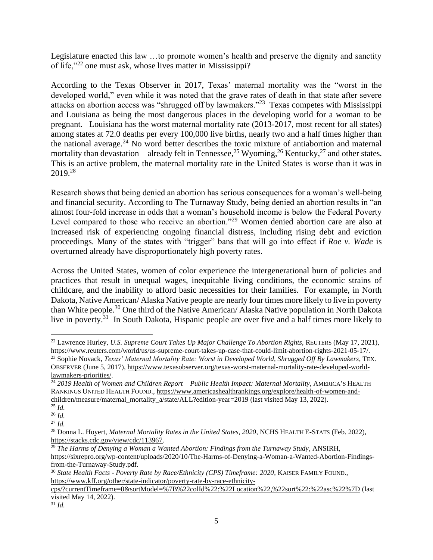Legislature enacted this law …to promote women's health and preserve the dignity and sanctity of life,"<sup>22</sup> one must ask, whose lives matter in Mississippi?

According to the Texas Observer in 2017, Texas' maternal mortality was the "worst in the developed world," even while it was noted that the grave rates of death in that state after severe attacks on abortion access was "shrugged off by lawmakers."<sup>23</sup> Texas competes with Mississippi and Louisiana as being the most dangerous places in the developing world for a woman to be pregnant. Louisiana has the worst maternal mortality rate (2013-2017, most recent for all states) among states at 72.0 deaths per every 100,000 live births, nearly two and a half times higher than the national average.<sup>24</sup> No word better describes the toxic mixture of antiabortion and maternal mortality than devastation—already felt in Tennessee,<sup>25</sup> Wyoming,<sup>26</sup> Kentucky,<sup>27</sup> and other states. This is an active problem, the maternal mortality rate in the United States is worse than it was in 2019.<sup>28</sup>

Research shows that being denied an abortion has serious consequences for a woman's well-being and financial security. According to The Turnaway Study, being denied an abortion results in "an almost four-fold increase in odds that a woman's household income is below the Federal Poverty Level compared to those who receive an abortion."<sup>29</sup> Women denied abortion care are also at increased risk of experiencing ongoing financial distress, including rising debt and eviction proceedings. Many of the states with "trigger" bans that will go into effect if *Roe v. Wade* is overturned already have disproportionately high poverty rates.

Across the United States, women of color experience the intergenerational burn of policies and practices that result in unequal wages, inequitable living conditions, the economic strains of childcare, and the inability to afford basic necessities for their families. For example, in North Dakota, Native American/ Alaska Native people are nearly four times more likely to live in poverty than White people.<sup>30</sup> One third of the Native American/ Alaska Native population in North Dakota live in poverty.<sup>31</sup> In South Dakota, Hispanic people are over five and a half times more likely to

 $31$  *Id.* 

<sup>&</sup>lt;sup>22</sup> Lawrence Hurley, *U.S. Supreme Court Takes Up Major Challenge To Abortion Rights, REUTERS (May 17, 2021),* [https://www.r](https://www/)euters.com/world/us/us-supreme-court-takes-up-case-that-could-limit-abortion-rights-2021-05-17/. <sup>23</sup> Sophie Novack, *Texas' Maternal Mortality Rate: Worst in Developed World, Shrugged Off By Lawmakers*, TEX. OBSERVER (June 5, 2017), [https://www.texasobserver.org/texas-worst-maternal-mortality-rate-developed-world](https://www.texasobserver.org/texas-worst-maternal-mortality-rate-developed-world-lawmakers-priorities/)[lawmakers-priorities/.](https://www.texasobserver.org/texas-worst-maternal-mortality-rate-developed-world-lawmakers-priorities/)

<sup>24</sup> *2019 Health of Women and Children Report – Public Health Impact: Maternal Mortality*, AMERICA'S HEALTH RANKINGS UNITED HEALTH FOUND.[, https://www.americashealthrankings.org/explore/health-of-women-and](https://www.americashealthrankings.org/explore/health-of-women-and-children/measure/maternal_mortality_a/state/ALL?edition-year=2019)[children/measure/maternal\\_mortality\\_a/state/ALL?edition-year=2019](https://www.americashealthrankings.org/explore/health-of-women-and-children/measure/maternal_mortality_a/state/ALL?edition-year=2019) (last visited May 13, 2022).

 $\overline{\frac{25}{}}$ *Id.* 

<sup>26</sup> *Id.* 

 $^{27}$  *Id.* 

<sup>&</sup>lt;sup>28</sup> Donna L. Hoyert, *Maternal Mortality Rates in the United States, 2020*, NCHS HEALTH E-STATS (Feb. 2022), [https://stacks.cdc.gov/view/cdc/113967.](https://stacks.cdc.gov/view/cdc/113967)

<sup>29</sup> *The Harms of Denying a Woman a Wanted Abortion: Findings from the Turnaway Study*, ANSIRH, https://sixrepro.org/wp-content/uploads/2020/10/The-Harms-of-Denying-a-Woman-a-Wanted-Abortion-Findingsfrom-the-Turnaway-Study.pdf.

<sup>30</sup> *State Health Facts - Poverty Rate by Race/Ethnicity (CPS) Timeframe: 2020*, KAISER FAMILY FOUND., [https://www.kff.org/other/state-indicator/poverty-rate-by-race-ethnicity-](https://www.kff.org/other/state-indicator/poverty-rate-by-race-ethnicity-cps/?currentTimeframe=0&sortModel=%7B%22colId%22:%22Location%22,%22sort%22:%22asc%22%7D)

[cps/?currentTimeframe=0&sortModel=%7B%22colId%22:%22Location%22,%22sort%22:%22asc%22%7D](https://www.kff.org/other/state-indicator/poverty-rate-by-race-ethnicity-cps/?currentTimeframe=0&sortModel=%7B%22colId%22:%22Location%22,%22sort%22:%22asc%22%7D) (last visited May 14, 2022).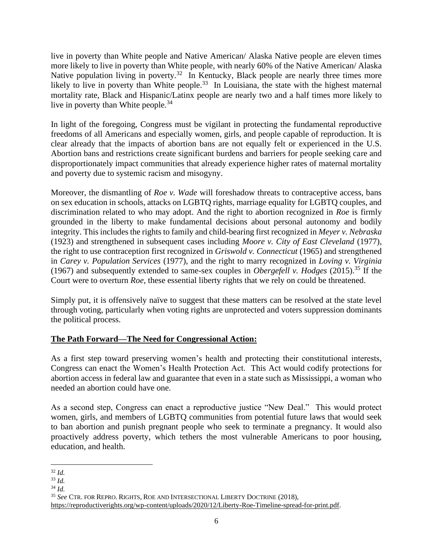live in poverty than White people and Native American/ Alaska Native people are eleven times more likely to live in poverty than White people, with nearly 60% of the Native American/ Alaska Native population living in poverty.<sup>32</sup> In Kentucky, Black people are nearly three times more likely to live in poverty than White people.<sup>33</sup> In Louisiana, the state with the highest maternal mortality rate, Black and Hispanic/Latinx people are nearly two and a half times more likely to live in poverty than White people.<sup>34</sup>

In light of the foregoing, Congress must be vigilant in protecting the fundamental reproductive freedoms of all Americans and especially women, girls, and people capable of reproduction. It is clear already that the impacts of abortion bans are not equally felt or experienced in the U.S. Abortion bans and restrictions create significant burdens and barriers for people seeking care and disproportionately impact communities that already experience higher rates of maternal mortality and poverty due to systemic racism and misogyny.

Moreover, the dismantling of *Roe v. Wade* will foreshadow threats to contraceptive access, bans on sex education in schools, attacks on LGBTQ rights, marriage equality for LGBTQ couples, and discrimination related to who may adopt. And the right to abortion recognized in *Roe* is firmly grounded in the liberty to make fundamental decisions about personal autonomy and bodily integrity. This includes the rights to family and child-bearing first recognized in *Meyer v. Nebraska* (1923) and strengthened in subsequent cases including *Moore v. City of East Cleveland* (1977), the right to use contraception first recognized in *Griswold v. Connecticut* (1965) and strengthened in *Carey v. Population Services* (1977), and the right to marry recognized in *Loving v. Virginia* (1967) and subsequently extended to same-sex couples in *Obergefell v. Hodges* (2015).<sup>35</sup> If the Court were to overturn *Roe*, these essential liberty rights that we rely on could be threatened.

Simply put, it is offensively naïve to suggest that these matters can be resolved at the state level through voting, particularly when voting rights are unprotected and voters suppression dominants the political process.

## **The Path Forward—The Need for Congressional Action:**

As a first step toward preserving women's health and protecting their constitutional interests, Congress can enact the Women's Health Protection Act. This Act would codify protections for abortion access in federal law and guarantee that even in a state such as Mississippi, a woman who needed an abortion could have one.

As a second step, Congress can enact a reproductive justice "New Deal." This would protect women, girls, and members of LGBTQ communities from potential future laws that would seek to ban abortion and punish pregnant people who seek to terminate a pregnancy. It would also proactively address poverty, which tethers the most vulnerable Americans to poor housing, education, and health.

<sup>32</sup> *Id.* 

 $33$  *Id.* 

<sup>34</sup> *Id.* 

<sup>35</sup> *See* CTR. FOR REPRO. RIGHTS, ROE AND INTERSECTIONAL LIBERTY DOCTRINE (2018),

[https://reproductiverights.org/wp-content/uploads/2020/12/Liberty-Roe-Timeline-spread-for-print.pdf.](https://reproductiverights.org/wp-content/uploads/2020/12/Liberty-Roe-Timeline-spread-for-print.pdf)